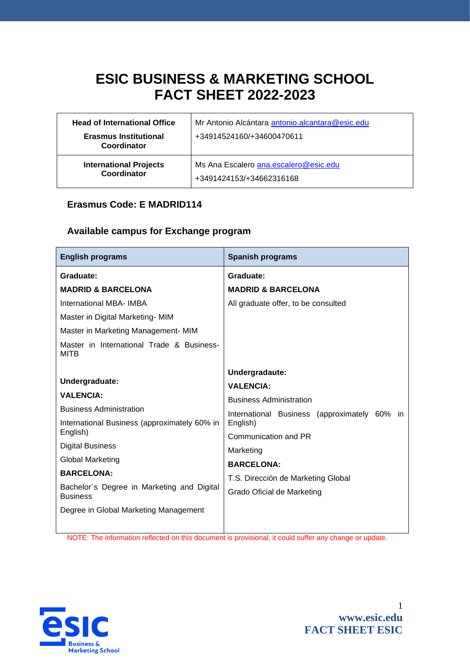# **ESIC BUSINESS & MARKETING SCHOOL FACT SHEET 2022-2023**

| <b>Head of International Office</b>          | Mr Antonio Alcántara antonio alcantara@esic.edu                   |
|----------------------------------------------|-------------------------------------------------------------------|
| <b>Erasmus Institutional</b><br>Coordinator  | +34914524160/+34600470611                                         |
| <b>International Projects</b><br>Coordinator | Ms Ana Escalero ana.escalero@esic.edu<br>+3491424153/+34662316168 |

## **Erasmus Code: E MADRID114**

## **Available campus for Exchange program**

| <b>English programs</b>                                                 | <b>Spanish programs</b>                                 |  |  |  |  |
|-------------------------------------------------------------------------|---------------------------------------------------------|--|--|--|--|
| Graduate:                                                               | Graduate:                                               |  |  |  |  |
| <b>MADRID &amp; BARCELONA</b>                                           | <b>MADRID &amp; BARCELONA</b>                           |  |  |  |  |
| <b>International MBA- IMBA</b>                                          | All graduate offer, to be consulted                     |  |  |  |  |
| Master in Digital Marketing-MIM                                         |                                                         |  |  |  |  |
| Master in Marketing Management- MIM                                     |                                                         |  |  |  |  |
| Master in International Trade & Business-<br><b>MITB</b>                |                                                         |  |  |  |  |
|                                                                         | Undergradaute:                                          |  |  |  |  |
| Undergraduate:<br><b>VALENCIA:</b>                                      | <b>VALENCIA:</b>                                        |  |  |  |  |
|                                                                         | <b>Business Administration</b>                          |  |  |  |  |
| <b>Business Administration</b>                                          | International Business (approximately<br>60%<br>In.     |  |  |  |  |
| International Business (approximately 60% in                            | English)                                                |  |  |  |  |
| English)                                                                | Communication and PR                                    |  |  |  |  |
| <b>Digital Business</b><br><b>Global Marketing</b><br><b>BARCELONA:</b> | Marketing                                               |  |  |  |  |
|                                                                         | <b>BARCELONA:</b><br>T.S. Dirección de Marketing Global |  |  |  |  |
|                                                                         |                                                         |  |  |  |  |
| Degree in Global Marketing Management                                   |                                                         |  |  |  |  |
|                                                                         |                                                         |  |  |  |  |

NOTE: The information reflected on this document is provisional, it could suffer any change or update.

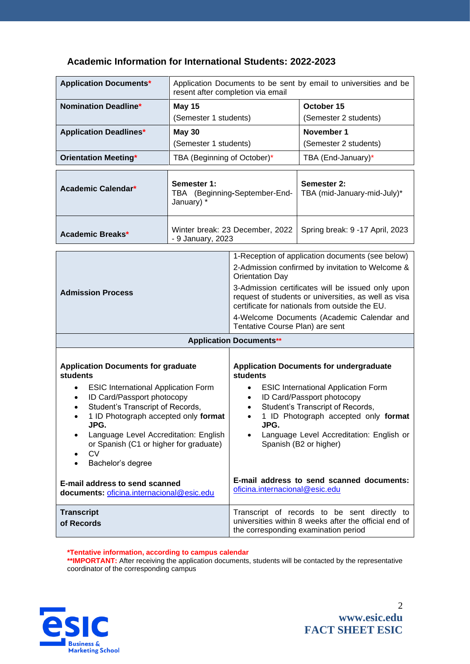| <b>Application Documents*</b>                                                                                                                                                                                                                                                                                                                                                                                                               | Application Documents to be sent by email to universities and be<br>resent after completion via email |                                                                                                                                                                                                                                                                                                                                                                                                                  |                                                                                                                                               |  |
|---------------------------------------------------------------------------------------------------------------------------------------------------------------------------------------------------------------------------------------------------------------------------------------------------------------------------------------------------------------------------------------------------------------------------------------------|-------------------------------------------------------------------------------------------------------|------------------------------------------------------------------------------------------------------------------------------------------------------------------------------------------------------------------------------------------------------------------------------------------------------------------------------------------------------------------------------------------------------------------|-----------------------------------------------------------------------------------------------------------------------------------------------|--|
| <b>Nomination Deadline*</b>                                                                                                                                                                                                                                                                                                                                                                                                                 | <b>May 15</b>                                                                                         |                                                                                                                                                                                                                                                                                                                                                                                                                  | October 15                                                                                                                                    |  |
|                                                                                                                                                                                                                                                                                                                                                                                                                                             | (Semester 1 students)                                                                                 |                                                                                                                                                                                                                                                                                                                                                                                                                  | (Semester 2 students)                                                                                                                         |  |
| <b>Application Deadlines*</b>                                                                                                                                                                                                                                                                                                                                                                                                               | <b>May 30</b>                                                                                         |                                                                                                                                                                                                                                                                                                                                                                                                                  | November 1                                                                                                                                    |  |
|                                                                                                                                                                                                                                                                                                                                                                                                                                             | (Semester 1 students)                                                                                 |                                                                                                                                                                                                                                                                                                                                                                                                                  | (Semester 2 students)                                                                                                                         |  |
| <b>Orientation Meeting*</b>                                                                                                                                                                                                                                                                                                                                                                                                                 | TBA (Beginning of October)*                                                                           |                                                                                                                                                                                                                                                                                                                                                                                                                  | TBA (End-January)*                                                                                                                            |  |
| Academic Calendar*                                                                                                                                                                                                                                                                                                                                                                                                                          | Semester 1:<br>TBA (Beginning-September-End-<br>January) *                                            |                                                                                                                                                                                                                                                                                                                                                                                                                  | Semester 2:<br>TBA (mid-January-mid-July)*                                                                                                    |  |
| <b>Academic Breaks*</b>                                                                                                                                                                                                                                                                                                                                                                                                                     | Winter break: 23 December, 2022<br>- 9 January, 2023                                                  |                                                                                                                                                                                                                                                                                                                                                                                                                  | Spring break: 9 -17 April, 2023                                                                                                               |  |
| <b>Admission Process</b>                                                                                                                                                                                                                                                                                                                                                                                                                    |                                                                                                       | 1-Reception of application documents (see below)<br>2-Admission confirmed by invitation to Welcome &<br><b>Orientation Day</b><br>3-Admission certificates will be issued only upon<br>request of students or universities, as well as visa<br>certificate for nationals from outside the EU.<br>4-Welcome Documents (Academic Calendar and<br>Tentative Course Plan) are sent                                   |                                                                                                                                               |  |
| <b>Application Documents**</b>                                                                                                                                                                                                                                                                                                                                                                                                              |                                                                                                       |                                                                                                                                                                                                                                                                                                                                                                                                                  |                                                                                                                                               |  |
| <b>Application Documents for graduate</b><br>students<br><b>ESIC International Application Form</b><br>$\bullet$<br>ID Card/Passport photocopy<br>Student's Transcript of Records,<br>1 ID Photograph accepted only format<br>JPG.<br>Language Level Accreditation: English<br>٠<br>or Spanish (C1 or higher for graduate)<br><b>CV</b><br>Bachelor's degree<br>E-mail address to send scanned<br>documents: oficina.internacional@esic.edu |                                                                                                       | <b>Application Documents for undergraduate</b><br><b>students</b><br><b>ESIC International Application Form</b><br>$\bullet$<br>ID Card/Passport photocopy<br>Student's Transcript of Records,<br>1 ID Photograph accepted only format<br>$\bullet$<br>JPG.<br>Language Level Accreditation: English or<br>Spanish (B2 or higher)<br>E-mail address to send scanned documents:<br>oficina.internacional@esic.edu |                                                                                                                                               |  |
| <b>Transcript</b><br>of Records                                                                                                                                                                                                                                                                                                                                                                                                             |                                                                                                       |                                                                                                                                                                                                                                                                                                                                                                                                                  | Transcript of records to be sent directly to<br>universities within 8 weeks after the official end of<br>the corresponding examination period |  |

## **Academic Information for International Students: 2022-2023**

#### **\*Tentative information, according to campus calendar**

\*\***IMPORTANT:** After receiving the application documents, students will be contacted by the representative coordinator of the corresponding campus